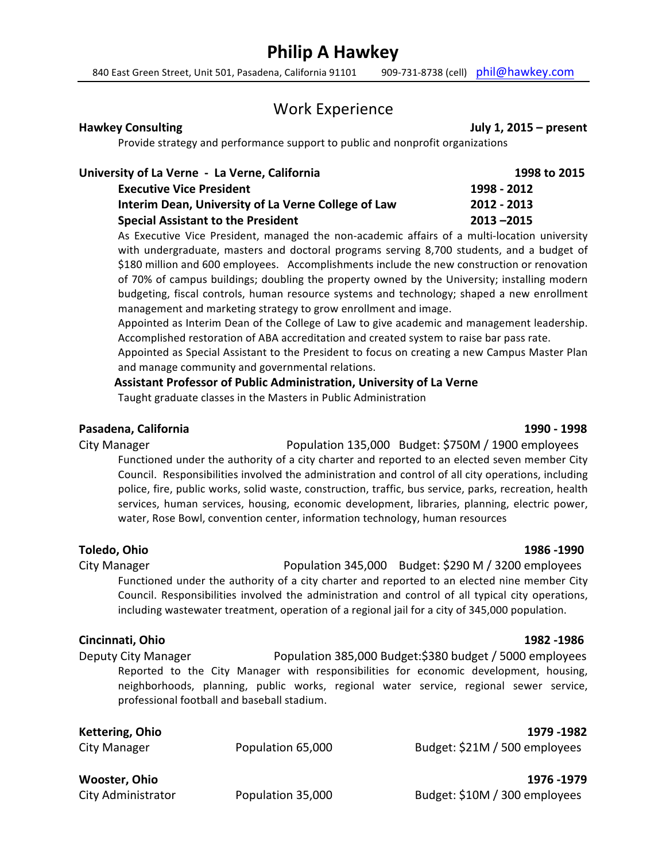# **Philip A Hawkey**

840 East Green Street, Unit 501, Pasadena, California 91101 909-731-8738 (cell) phil@hawkey.com

## Work Experience

**Hawkey Consulting July 1, 2015 – present** 

Provide strategy and performance support to public and nonprofit organizations

| University of La Verne - La Verne, California       | 1998 to 2015  |  |
|-----------------------------------------------------|---------------|--|
| <b>Executive Vice President</b>                     | 1998 - 2012   |  |
| Interim Dean, University of La Verne College of Law | 2012 - 2013   |  |
| <b>Special Assistant to the President</b>           | $2013 - 2015$ |  |

As Executive Vice President, managed the non-academic affairs of a multi-location university with undergraduate, masters and doctoral programs serving 8,700 students, and a budget of \$180 million and 600 employees. Accomplishments include the new construction or renovation of 70% of campus buildings; doubling the property owned by the University; installing modern budgeting, fiscal controls, human resource systems and technology; shaped a new enrollment management and marketing strategy to grow enrollment and image.

Appointed as Interim Dean of the College of Law to give academic and management leadership. Accomplished restoration of ABA accreditation and created system to raise bar pass rate.

Appointed as Special Assistant to the President to focus on creating a new Campus Master Plan and manage community and governmental relations.

**Assistant Professor of Public Administration, University of La Verne** 

water, Rose Bowl, convention center, information technology, human resources

Taught graduate classes in the Masters in Public Administration

## **Pasadena, California 1990 - 1998**

City Manager *Population* 135,000 Budget: \$750M / 1900 employees Functioned under the authority of a city charter and reported to an elected seven member City Council. Responsibilities involved the administration and control of all city operations, including police, fire, public works, solid waste, construction, traffic, bus service, parks, recreation, health

**Toledo, Ohio 1986 -1990**

City Manager *City Manager* 2000 **City Manager** *City Manager City Manager City Manager City Manager City Manager City Manager City Manager City Manager City Manager City Manager* Functioned under the authority of a city charter and reported to an elected nine member City Council. Responsibilities involved the administration and control of all typical city operations, including wastewater treatment, operation of a regional jail for a city of 345,000 population.

services, human services, housing, economic development, libraries, planning, electric power,

### **Cincinnati, Ohio 1982 -1986**

Deputy City Manager *Population* 385,000 Budget:\$380 budget / 5000 employees Reported to the City Manager with responsibilities for economic development, housing, neighborhoods, planning, public works, regional water service, regional sewer service, professional football and baseball stadium.

| Kettering, Ohio<br>City Manager | Population 65,000 | 1979 - 1982<br>Budget: \$21M / 500 employees |
|---------------------------------|-------------------|----------------------------------------------|
| Wooster, Ohio                   |                   | 1976 - 1979                                  |

City Administrator **Depulation 35,000** Budget: \$10M / 300 employees